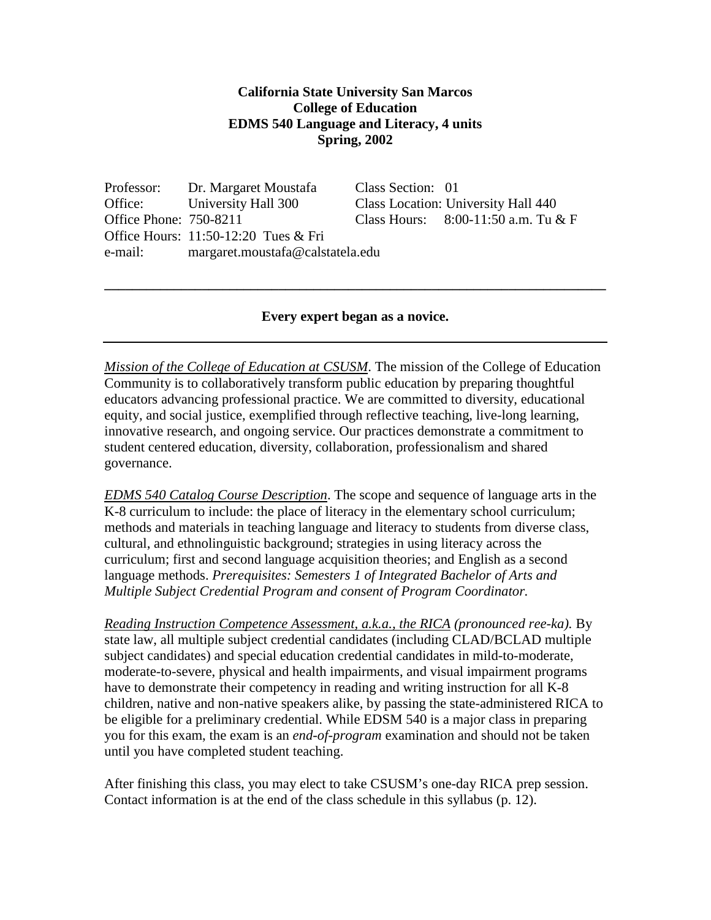#### **California State University San Marcos College of Education EDMS 540 Language and Literacy, 4 units Spring, 2002**

Professor: Dr. Margaret Moustafa Class Section: 01 Office: University Hall 300 Class Location: University Hall 440 Office Phone: 750-8211 Class Hours: 8:00-11:50 a.m. Tu & F Office Hours: 11:50-12:20 Tues & Fri e-mail: margaret.moustafa@calstatela.edu

#### **Every expert began as a novice.**

**\_\_\_\_\_\_\_\_\_\_\_\_\_\_\_\_\_\_\_\_\_\_\_\_\_\_\_\_\_\_\_\_\_\_\_\_\_\_\_\_\_\_\_\_\_\_\_\_\_\_\_\_\_\_\_\_\_\_\_\_\_\_\_\_\_\_\_\_\_\_\_\_**

*Mission of the College of Education at CSUSM*. The mission of the College of Education Community is to collaboratively transform public education by preparing thoughtful educators advancing professional practice. We are committed to diversity, educational equity, and social justice, exemplified through reflective teaching, live-long learning, innovative research, and ongoing service. Our practices demonstrate a commitment to student centered education, diversity, collaboration, professionalism and shared governance.

*EDMS 540 Catalog Course Description*. The scope and sequence of language arts in the K-8 curriculum to include: the place of literacy in the elementary school curriculum; methods and materials in teaching language and literacy to students from diverse class, cultural, and ethnolinguistic background; strategies in using literacy across the curriculum; first and second language acquisition theories; and English as a second language methods. *Prerequisites: Semesters 1 of Integrated Bachelor of Arts and Multiple Subject Credential Program and consent of Program Coordinator.*

*Reading Instruction Competence Assessment, a.k.a., the RICA (pronounced ree-ka).* By state law, all multiple subject credential candidates (including CLAD/BCLAD multiple subject candidates) and special education credential candidates in mild-to-moderate, moderate-to-severe, physical and health impairments, and visual impairment programs have to demonstrate their competency in reading and writing instruction for all K-8 children, native and non-native speakers alike, by passing the state-administered RICA to be eligible for a preliminary credential. While EDSM 540 is a major class in preparing you for this exam, the exam is an *end-of-program* examination and should not be taken until you have completed student teaching.

After finishing this class, you may elect to take CSUSM's one-day RICA prep session. Contact information is at the end of the class schedule in this syllabus (p. 12).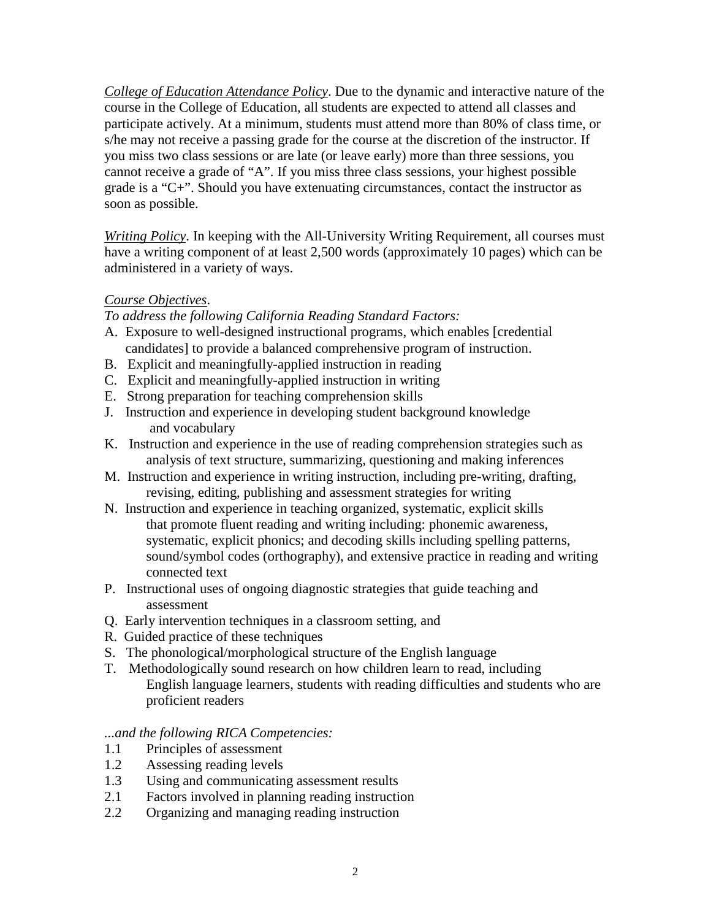*College of Education Attendance Policy*. Due to the dynamic and interactive nature of the course in the College of Education, all students are expected to attend all classes and participate actively. At a minimum, students must attend more than 80% of class time, or s/he may not receive a passing grade for the course at the discretion of the instructor. If you miss two class sessions or are late (or leave early) more than three sessions, you cannot receive a grade of "A". If you miss three class sessions, your highest possible grade is a "C+". Should you have extenuating circumstances, contact the instructor as soon as possible.

*Writing Policy*. In keeping with the All-University Writing Requirement, all courses must have a writing component of at least 2,500 words (approximately 10 pages) which can be administered in a variety of ways.

## *Course Objectives*.

*To address the following California Reading Standard Factors:*

- A. Exposure to well-designed instructional programs, which enables [credential candidates] to provide a balanced comprehensive program of instruction.
- B. Explicit and meaningfully-applied instruction in reading
- C. Explicit and meaningfully-applied instruction in writing
- E. Strong preparation for teaching comprehension skills
- J. Instruction and experience in developing student background knowledge and vocabulary
- K. Instruction and experience in the use of reading comprehension strategies such as analysis of text structure, summarizing, questioning and making inferences
- M. Instruction and experience in writing instruction, including pre-writing, drafting, revising, editing, publishing and assessment strategies for writing
- N. Instruction and experience in teaching organized, systematic, explicit skills that promote fluent reading and writing including: phonemic awareness, systematic, explicit phonics; and decoding skills including spelling patterns, sound/symbol codes (orthography), and extensive practice in reading and writing connected text
- P. Instructional uses of ongoing diagnostic strategies that guide teaching and assessment
- Q. Early intervention techniques in a classroom setting, and
- R. Guided practice of these techniques
- S. The phonological/morphological structure of the English language
- T. Methodologically sound research on how children learn to read, including English language learners, students with reading difficulties and students who are proficient readers

#### *...and the following RICA Competencies:*

- 1.1 Principles of assessment
- 1.2 Assessing reading levels
- 1.3 Using and communicating assessment results
- 2.1 Factors involved in planning reading instruction
- 2.2 Organizing and managing reading instruction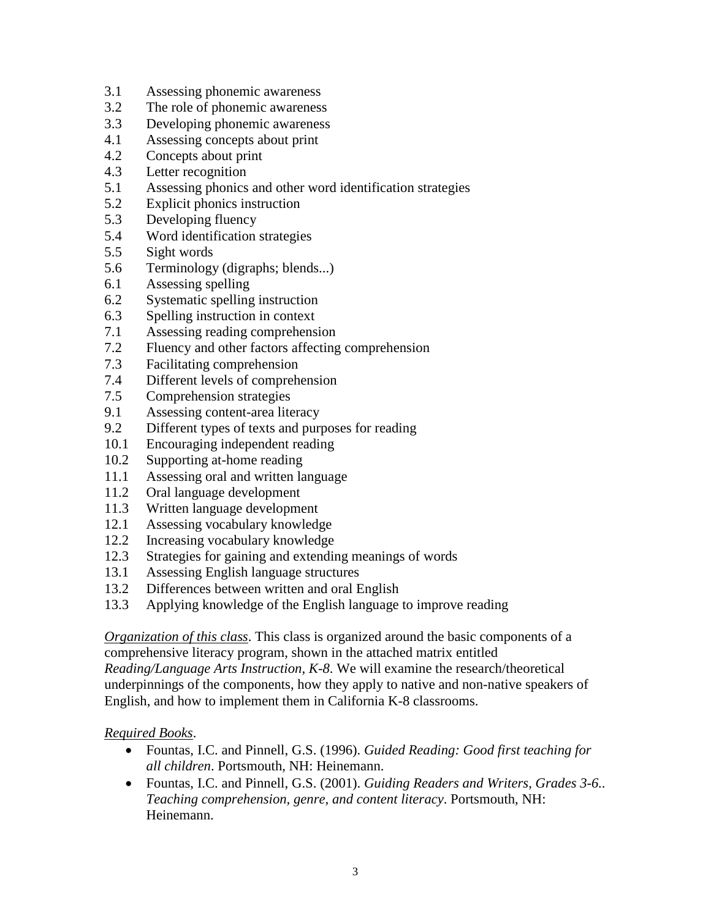- 3.1 Assessing phonemic awareness
- 3.2 The role of phonemic awareness
- 3.3 Developing phonemic awareness
- 4.1 Assessing concepts about print
- 4.2 Concepts about print
- 4.3 Letter recognition
- 5.1 Assessing phonics and other word identification strategies
- 5.2 Explicit phonics instruction
- 5.3 Developing fluency
- 5.4 Word identification strategies
- 5.5 Sight words
- 5.6 Terminology (digraphs; blends...)
- 6.1 Assessing spelling
- 6.2 Systematic spelling instruction
- 6.3 Spelling instruction in context
- 7.1 Assessing reading comprehension
- 7.2 Fluency and other factors affecting comprehension
- 7.3 Facilitating comprehension
- 7.4 Different levels of comprehension
- 7.5 Comprehension strategies
- 9.1 Assessing content-area literacy
- 9.2 Different types of texts and purposes for reading
- 10.1 Encouraging independent reading
- 10.2 Supporting at-home reading
- 11.1 Assessing oral and written language
- 11.2 Oral language development
- 11.3 Written language development
- 12.1 Assessing vocabulary knowledge
- 12.2 Increasing vocabulary knowledge
- 12.3 Strategies for gaining and extending meanings of words
- 13.1 Assessing English language structures
- 13.2 Differences between written and oral English
- 13.3 Applying knowledge of the English language to improve reading

*Organization of this class*. This class is organized around the basic components of a comprehensive literacy program, shown in the attached matrix entitled *Reading/Language Arts Instruction, K-8*. We will examine the research/theoretical underpinnings of the components, how they apply to native and non-native speakers of English, and how to implement them in California K-8 classrooms.

#### *Required Books*.

- Fountas, I.C. and Pinnell, G.S. (1996). *Guided Reading: Good first teaching for all children*. Portsmouth, NH: Heinemann.
- Fountas, I.C. and Pinnell, G.S. (2001). *Guiding Readers and Writers, Grades 3-6.. Teaching comprehension, genre, and content literacy*. Portsmouth, NH: Heinemann.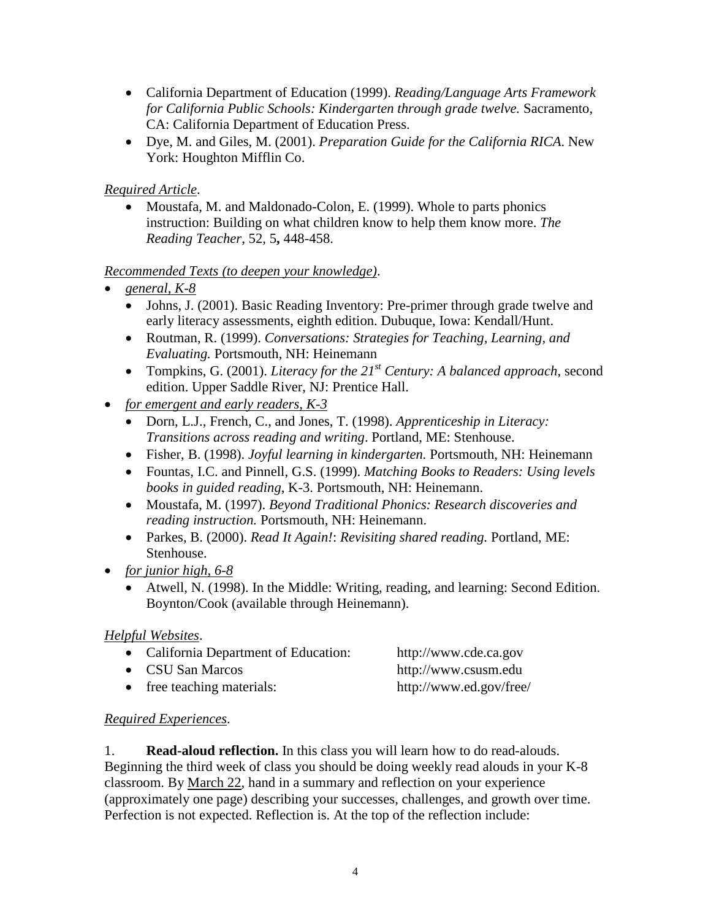- California Department of Education (1999). *Reading/Language Arts Framework for California Public Schools: Kindergarten through grade twelve.* Sacramento, CA: California Department of Education Press.
- Dye, M. and Giles, M. (2001). *Preparation Guide for the California RICA*. New York: Houghton Mifflin Co.

## *Required Article*.

• Moustafa, M. and Maldonado-Colon, E. (1999). Whole to parts phonics instruction: Building on what children know to help them know more. *The Reading Teacher*, 52, 5**,** 448-458.

## *Recommended Texts (to deepen your knowledge)*.

- *general, K-8*
	- Johns, J. (2001). Basic Reading Inventory: Pre-primer through grade twelve and early literacy assessments, eighth edition. Dubuque, Iowa: Kendall/Hunt.
	- Routman, R. (1999). *Conversations: Strategies for Teaching, Learning, and Evaluating.* Portsmouth, NH: Heinemann
	- Tompkins, G. (2001). *Literacy for the 21<sup>st</sup> Century: A balanced approach*, second edition. Upper Saddle River, NJ: Prentice Hall.
- *for emergent and early readers, K-3*
	- Dorn, L.J., French, C., and Jones, T. (1998). *Apprenticeship in Literacy: Transitions across reading and writing*. Portland, ME: Stenhouse.
	- Fisher, B. (1998). *Joyful learning in kindergarten.* Portsmouth, NH: Heinemann
	- Fountas, I.C. and Pinnell, G.S. (1999). *Matching Books to Readers: Using levels books in guided reading*, K-3. Portsmouth, NH: Heinemann.
	- Moustafa, M. (1997). *Beyond Traditional Phonics: Research discoveries and reading instruction.* Portsmouth, NH: Heinemann.
	- Parkes, B. (2000). *Read It Again!*: *Revisiting shared reading.* Portland, ME: Stenhouse.
- *for junior high, 6-8*
	- Atwell, N. (1998). In the Middle: Writing, reading, and learning: Second Edition. Boynton/Cook (available through Heinemann).

## *Helpful Websites*.

| • California Department of Education: | http://www.cde.ca.gov   |
|---------------------------------------|-------------------------|
| • CSU San Marcos                      | http://www.csusm.edu    |
| • free teaching materials:            | http://www.ed.gov/free/ |

## *Required Experiences*.

1. **Read-aloud reflection.** In this class you will learn how to do read-alouds. Beginning the third week of class you should be doing weekly read alouds in your K-8 classroom. By March 22, hand in a summary and reflection on your experience (approximately one page) describing your successes, challenges, and growth over time. Perfection is not expected. Reflection is. At the top of the reflection include: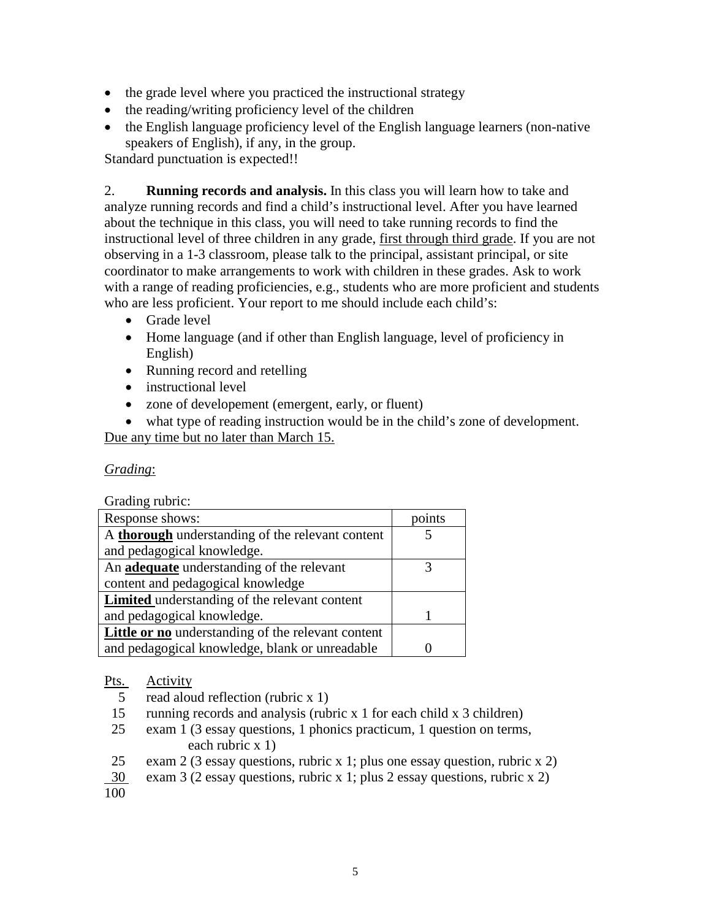- the grade level where you practiced the instructional strategy
- the reading/writing proficiency level of the children
- the English language proficiency level of the English language learners (non-native speakers of English), if any, in the group.

Standard punctuation is expected!!

2. **Running records and analysis.** In this class you will learn how to take and analyze running records and find a child's instructional level. After you have learned about the technique in this class, you will need to take running records to find the instructional level of three children in any grade, first through third grade. If you are not observing in a 1-3 classroom, please talk to the principal, assistant principal, or site coordinator to make arrangements to work with children in these grades. Ask to work with a range of reading proficiencies, e.g., students who are more proficient and students who are less proficient. Your report to me should include each child's:

- Grade level
- Home language (and if other than English language, level of proficiency in English)
- Running record and retelling
- instructional level
- zone of developement (emergent, early, or fluent)
- what type of reading instruction would be in the child's zone of development.

Due any time but no later than March 15.

## *Grading*:

Grading rubric:

| Response shows:                                         | points |
|---------------------------------------------------------|--------|
| A <b>thorough</b> understanding of the relevant content |        |
| and pedagogical knowledge.                              |        |
| An adequate understanding of the relevant               |        |
| content and pedagogical knowledge                       |        |
| <b>Limited</b> understanding of the relevant content    |        |
| and pedagogical knowledge.                              |        |
| Little or no understanding of the relevant content      |        |
| and pedagogical knowledge, blank or unreadable          |        |

## Pts. Activity

- 5 read aloud reflection (rubric x 1)
- 15 running records and analysis (rubric x 1 for each child x 3 children)
- 25 exam 1 (3 essay questions, 1 phonics practicum, 1 question on terms, each rubric x 1)
- 25 exam 2 (3 essay questions, rubric x 1; plus one essay question, rubric x 2)
- 30 exam 3 (2 essay questions, rubric x 1; plus 2 essay questions, rubric x 2)

100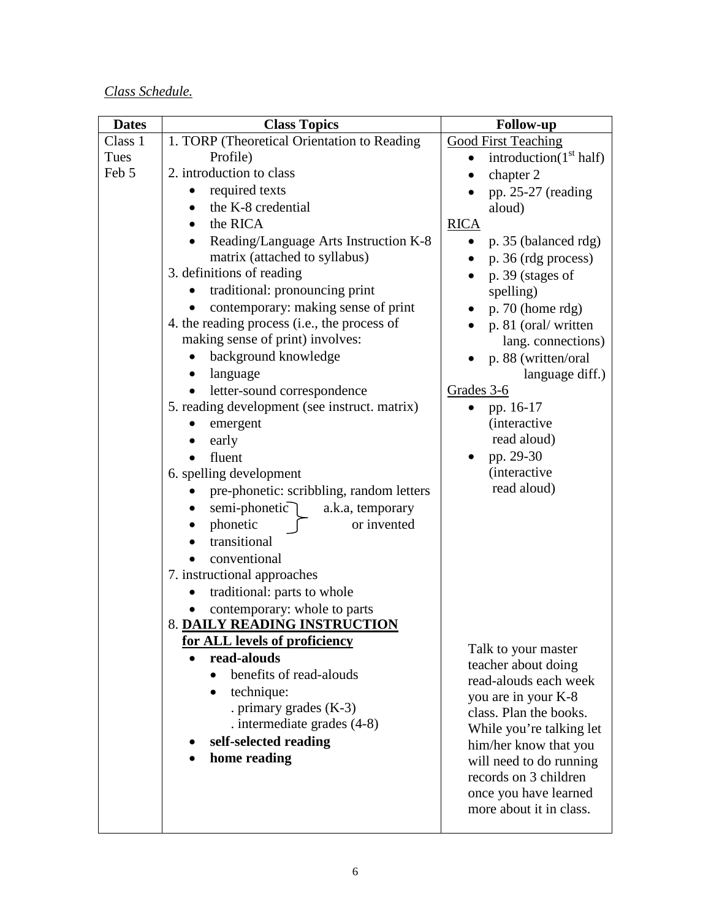# *Class Schedule.*

| <b>Dates</b> | <b>Class Topics</b>                           | <b>Follow-up</b>                       |
|--------------|-----------------------------------------------|----------------------------------------|
| Class 1      | 1. TORP (Theoretical Orientation to Reading)  | <b>Good First Teaching</b>             |
| Tues         | Profile)                                      | introduction( $1st$ half)<br>$\bullet$ |
| Feb 5        | 2. introduction to class                      | chapter 2                              |
|              | required texts                                | pp. 25-27 (reading                     |
|              | the K-8 credential                            | aloud)                                 |
|              | the RICA<br>$\bullet$                         | <b>RICA</b>                            |
|              | Reading/Language Arts Instruction K-8         | p. 35 (balanced rdg)<br>$\bullet$      |
|              | matrix (attached to syllabus)                 | p. 36 (rdg process)                    |
|              | 3. definitions of reading                     | p. 39 (stages of                       |
|              | traditional: pronouncing print<br>$\bullet$   | spelling)                              |
|              | contemporary: making sense of print           | $p. 70$ (home rdg)                     |
|              | 4. the reading process (i.e., the process of  | p. 81 (oral/written                    |
|              | making sense of print) involves:              | lang. connections)                     |
|              | background knowledge                          | p. 88 (written/oral                    |
|              | language                                      | language diff.)                        |
|              | letter-sound correspondence<br>$\bullet$      | Grades 3-6                             |
|              | 5. reading development (see instruct. matrix) | pp. 16-17                              |
|              | emergent                                      | <i>(interactive)</i>                   |
|              | early                                         | read aloud)                            |
|              | fluent                                        | pp. 29-30                              |
|              | 6. spelling development                       | <i>(interactive)</i>                   |
|              | pre-phonetic: scribbling, random letters      | read aloud)                            |
|              | semi-phonetic $\bigcap$<br>a.k.a, temporary   |                                        |
|              | phonetic<br>or invented                       |                                        |
|              | transitional                                  |                                        |
|              | conventional                                  |                                        |
|              | 7. instructional approaches                   |                                        |
|              | traditional: parts to whole                   |                                        |
|              | contemporary: whole to parts                  |                                        |
|              | 8. DAILY READING INSTRUCTION                  |                                        |
|              | for ALL levels of proficiency                 | Talk to your master                    |
|              | read-alouds                                   | teacher about doing                    |
|              | benefits of read-alouds<br>$\bullet$          | read-alouds each week                  |
|              | technique:                                    | you are in your K-8                    |
|              | . primary grades $(K-3)$                      | class. Plan the books.                 |
|              | . intermediate grades $(4-8)$                 | While you're talking let               |
|              | self-selected reading                         | him/her know that you                  |
|              | home reading                                  | will need to do running                |
|              |                                               | records on 3 children                  |
|              |                                               | once you have learned                  |
|              |                                               | more about it in class.                |
|              |                                               |                                        |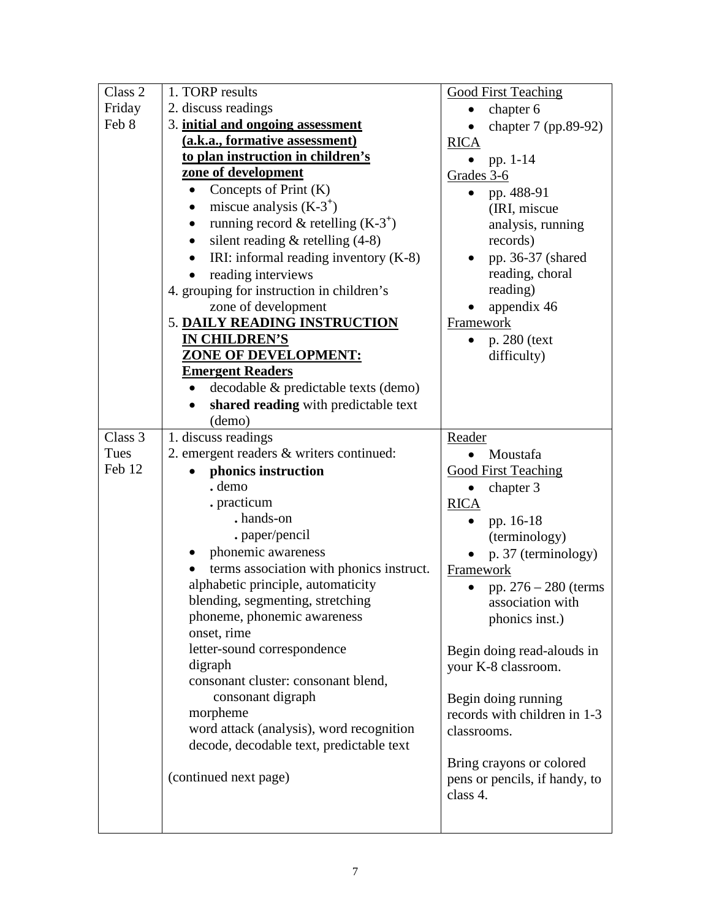| Class 2 | 1. TORP results                                      | <b>Good First Teaching</b>                          |
|---------|------------------------------------------------------|-----------------------------------------------------|
| Friday  | 2. discuss readings                                  | chapter 6                                           |
| Feb 8   | 3. initial and ongoing assessment                    | chapter 7 (pp.89-92)                                |
|         | (a.k.a., formative assessment)                       | <b>RICA</b>                                         |
|         | to plan instruction in children's                    | pp. $1-14$                                          |
|         | zone of development                                  | Grades 3-6                                          |
|         | Concepts of Print $(K)$<br>$\bullet$                 | pp. 488-91                                          |
|         | miscue analysis $(K-3^+)$<br>$\bullet$               | (IRI, miscue)                                       |
|         | running record & retelling $(K-3^+)$                 | analysis, running                                   |
|         | silent reading $&$ retelling (4-8)<br>$\bullet$      | records)                                            |
|         | IRI: informal reading inventory $(K-8)$<br>$\bullet$ | pp. 36-37 (shared                                   |
|         | reading interviews                                   | reading, choral                                     |
|         | 4. grouping for instruction in children's            | reading)                                            |
|         | zone of development                                  | appendix 46                                         |
|         | 5. DAILY READING INSTRUCTION                         | Framework                                           |
|         | IN CHILDREN'S                                        | p. 280 (text                                        |
|         | <b>ZONE OF DEVELOPMENT:</b>                          | difficulty)                                         |
|         | <b>Emergent Readers</b>                              |                                                     |
|         | decodable & predictable texts (demo)<br>$\bullet$    |                                                     |
|         | shared reading with predictable text                 |                                                     |
|         | (demo)                                               |                                                     |
| Class 3 | 1. discuss readings                                  | Reader                                              |
| Tues    | 2. emergent readers & writers continued:             | Moustafa                                            |
| Feb 12  | phonics instruction                                  | <b>Good First Teaching</b>                          |
|         | . demo                                               | chapter 3                                           |
|         | . practicum                                          | <b>RICA</b>                                         |
|         | . hands-on                                           | pp. 16-18                                           |
|         | . paper/pencil                                       | (terminology)                                       |
|         | phonemic awareness                                   | p. 37 (terminology)                                 |
|         | terms association with phonics instruct.             | Framework                                           |
|         | alphabetic principle, automaticity                   | pp. $276 - 280$ (terms                              |
|         | blending, segmenting, stretching                     | association with                                    |
|         | phoneme, phonemic awareness                          | phonics inst.)                                      |
|         | onset, rime                                          |                                                     |
|         | letter-sound correspondence                          | Begin doing read-alouds in                          |
|         | digraph<br>consonant cluster: consonant blend,       | your K-8 classroom.                                 |
|         |                                                      |                                                     |
|         | consonant digraph<br>morpheme                        | Begin doing running<br>records with children in 1-3 |
|         | word attack (analysis), word recognition             | classrooms.                                         |
|         | decode, decodable text, predictable text             |                                                     |
|         |                                                      | Bring crayons or colored                            |
|         | (continued next page)                                | pens or pencils, if handy, to                       |
|         |                                                      | class 4.                                            |
|         |                                                      |                                                     |
|         |                                                      |                                                     |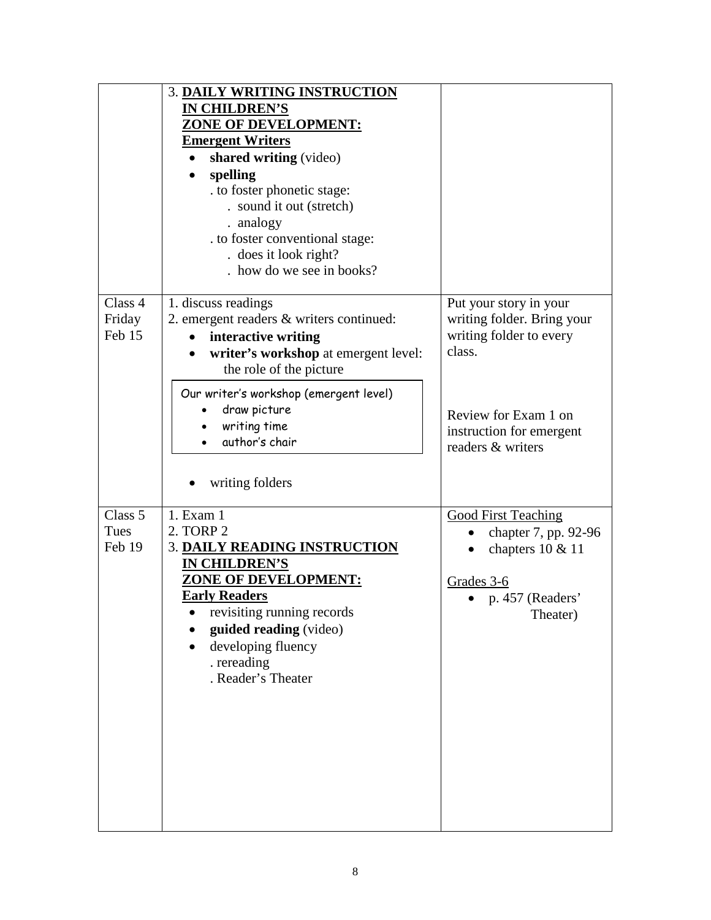|                             | 3. DAILY WRITING INSTRUCTION<br><b>IN CHILDREN'S</b><br><b>ZONE OF DEVELOPMENT:</b><br><b>Emergent Writers</b><br>shared writing (video)<br>٠<br>spelling<br>. to foster phonetic stage:<br>. sound it out (stretch)<br>. analogy<br>. to foster conventional stage:<br>. does it look right?<br>. how do we see in books? |                                                                                                                                                                    |
|-----------------------------|----------------------------------------------------------------------------------------------------------------------------------------------------------------------------------------------------------------------------------------------------------------------------------------------------------------------------|--------------------------------------------------------------------------------------------------------------------------------------------------------------------|
| Class 4<br>Friday<br>Feb 15 | 1. discuss readings<br>2. emergent readers & writers continued:<br>interactive writing<br>writer's workshop at emergent level:<br>the role of the picture<br>Our writer's workshop (emergent level)<br>draw picture<br>writing time<br>author's chair<br>writing folders                                                   | Put your story in your<br>writing folder. Bring your<br>writing folder to every<br>class.<br>Review for Exam 1 on<br>instruction for emergent<br>readers & writers |
| Class 5<br>Tues<br>Feb 19   | 1. Exam 1<br>2. TORP 2<br><b>3. DAILY READING INSTRUCTION</b><br>IN CHILDREN'S<br><u>ZONE OF DEVELOPMENT:</u><br><b>Early Readers</b><br>revisiting running records<br>guided reading (video)<br>developing fluency<br>. rereading<br>. Reader's Theater                                                                   | <b>Good First Teaching</b><br>chapter 7, pp. 92-96<br>chapters 10 & 11<br>Grades 3-6<br>p. 457 (Readers'<br>Theater)                                               |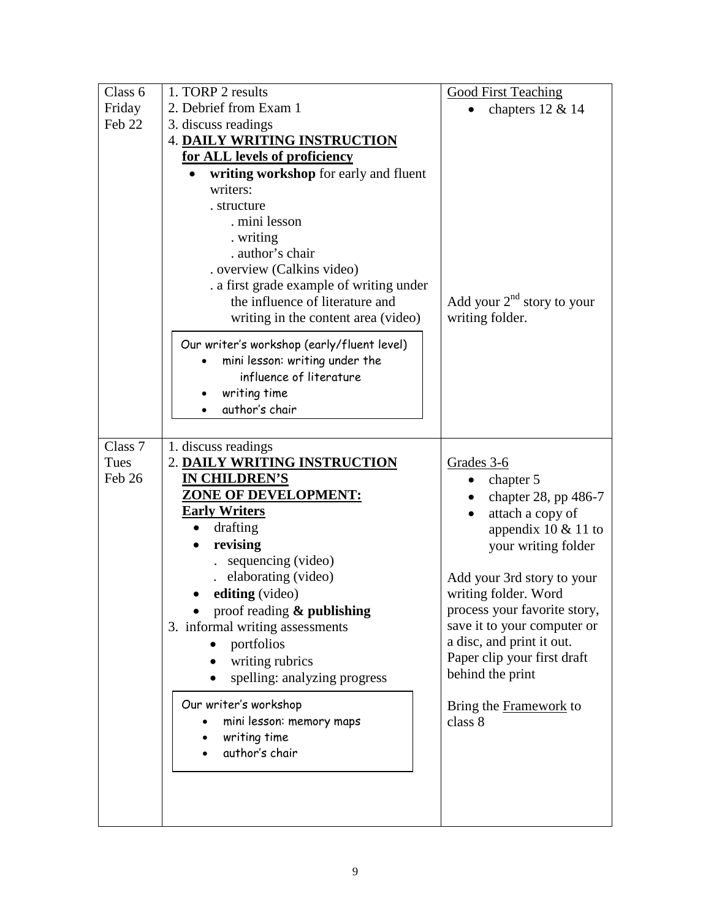| Class 6 | 1. TORP 2 results                          | <b>Good First Teaching</b>   |
|---------|--------------------------------------------|------------------------------|
| Friday  | 2. Debrief from Exam 1                     | chapters 12 & 14             |
| Feb 22  | 3. discuss readings                        |                              |
|         | <b>4. DAILY WRITING INSTRUCTION</b>        |                              |
|         | for ALL levels of proficiency              |                              |
|         | writing workshop for early and fluent      |                              |
|         | writers:                                   |                              |
|         | . structure                                |                              |
|         | . mini lesson                              |                              |
|         | . writing                                  |                              |
|         | . author's chair                           |                              |
|         | . overview (Calkins video)                 |                              |
|         | . a first grade example of writing under   |                              |
|         | the influence of literature and            | Add your $2nd$ story to your |
|         | writing in the content area (video)        | writing folder.              |
|         | Our writer's workshop (early/fluent level) |                              |
|         | mini lesson: writing under the             |                              |
|         | influence of literature                    |                              |
|         | writing time                               |                              |
|         | author's chair                             |                              |
|         |                                            |                              |
| Class 7 | 1. discuss readings                        |                              |
| Tues    | 2. DAILY WRITING INSTRUCTION               | Grades 3-6                   |
| Feb 26  | <b>IN CHILDREN'S</b>                       | chapter 5                    |
|         | <b>ZONE OF DEVELOPMENT:</b>                | chapter 28, pp 486-7         |
|         | <b>Early Writers</b>                       | attach a copy of             |
|         | drafting                                   | appendix $10 \& 11$ to       |
|         | revising                                   | your writing folder          |
|         | sequencing (video)                         |                              |
|         | elaborating (video)                        | Add your 3rd story to your   |
|         | editing (video)                            | writing folder. Word         |
|         | proof reading & publishing                 | process your favorite story, |
|         | 3. informal writing assessments            | save it to your computer or  |
|         | portfolios                                 | a disc, and print it out.    |
|         | writing rubrics                            | Paper clip your first draft  |
|         | spelling: analyzing progress               | behind the print             |
|         |                                            |                              |
|         | Our writer's workshop                      | Bring the Framework to       |
|         | mini lesson: memory maps                   | class 8                      |
|         | writing time                               |                              |
|         | author's chair                             |                              |
|         |                                            |                              |
|         |                                            |                              |
|         |                                            |                              |
|         |                                            |                              |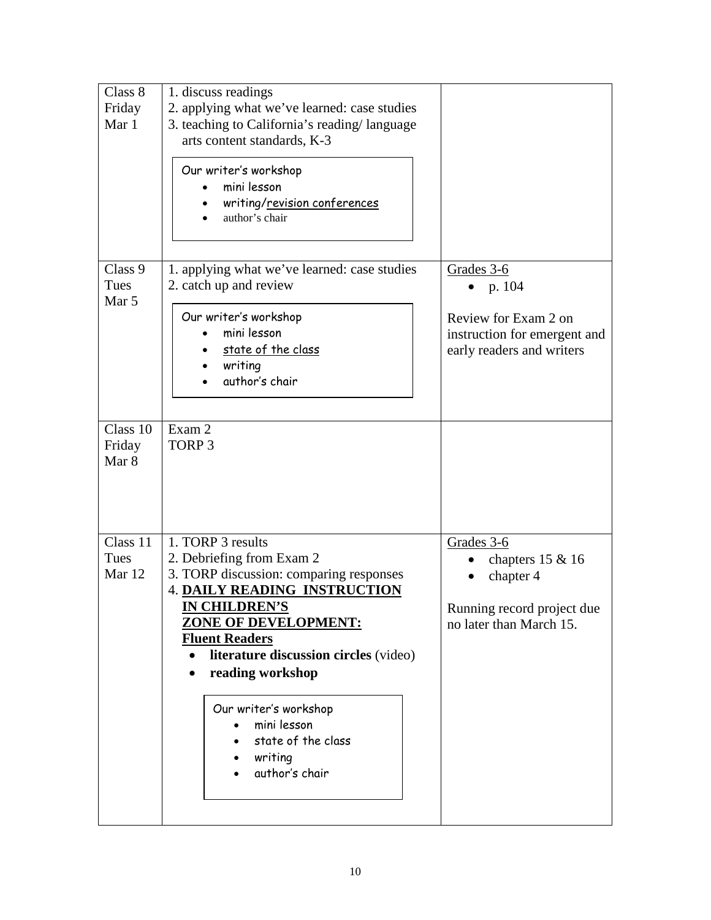| Class 8<br>Friday<br>Mar 1  | 1. discuss readings<br>2. applying what we've learned: case studies<br>3. teaching to California's reading/language<br>arts content standards, K-3<br>Our writer's workshop<br>mini lesson                                                                                                                                                                                 |                                                                                                              |
|-----------------------------|----------------------------------------------------------------------------------------------------------------------------------------------------------------------------------------------------------------------------------------------------------------------------------------------------------------------------------------------------------------------------|--------------------------------------------------------------------------------------------------------------|
|                             | writing/revision conferences<br>author's chair                                                                                                                                                                                                                                                                                                                             |                                                                                                              |
| Class 9<br>Tues<br>Mar 5    | 1. applying what we've learned: case studies<br>2. catch up and review<br>Our writer's workshop<br>mini lesson<br>state of the class<br>writing<br>author's chair                                                                                                                                                                                                          | Grades 3-6<br>• $p.104$<br>Review for Exam 2 on<br>instruction for emergent and<br>early readers and writers |
| Class 10<br>Friday<br>Mar 8 | Exam 2<br>TORP <sub>3</sub>                                                                                                                                                                                                                                                                                                                                                |                                                                                                              |
| Class 11<br>Tues<br>Mar 12  | 1. TORP 3 results<br>2. Debriefing from Exam 2<br>3. TORP discussion: comparing responses<br><b>4. DAILY READING INSTRUCTION</b><br><b>IN CHILDREN'S</b><br><b>ZONE OF DEVELOPMENT:</b><br><b>Fluent Readers</b><br>literature discussion circles (video)<br>reading workshop<br>Our writer's workshop<br>mini lesson<br>state of the class<br>• writing<br>author's chair | Grades 3-6<br>chapters $15 & 16$<br>chapter 4<br>Running record project due<br>no later than March 15.       |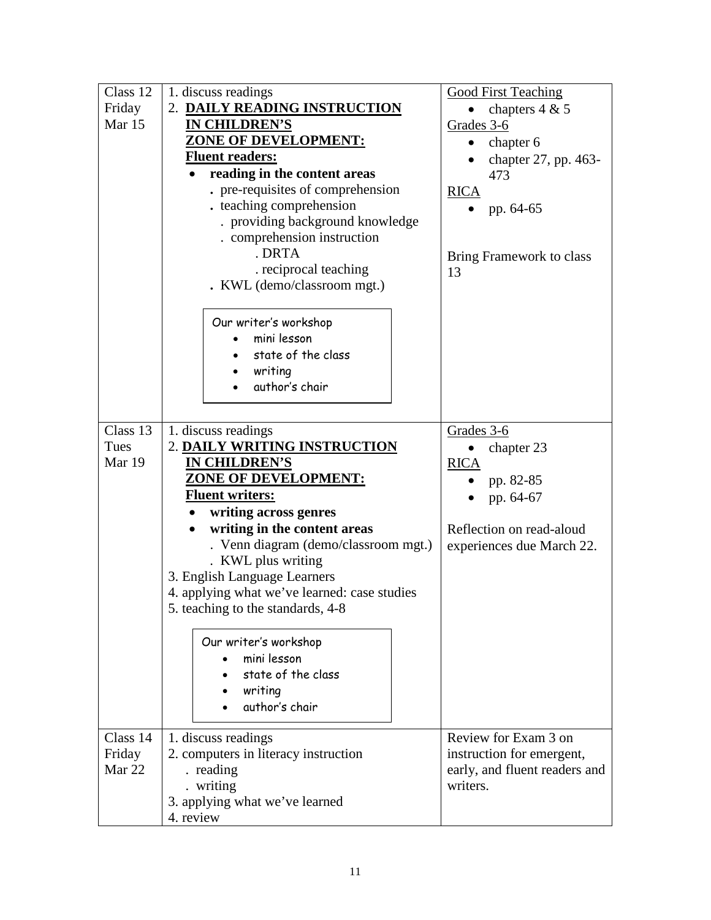| Class 12    | 1. discuss readings                          | <b>Good First Teaching</b>    |
|-------------|----------------------------------------------|-------------------------------|
| Friday      | 2. DAILY READING INSTRUCTION                 | chapters $4 & 5$              |
| Mar 15      | <b>IN CHILDREN'S</b>                         | Grades 3-6                    |
|             | <b>ZONE OF DEVELOPMENT:</b>                  | chapter 6                     |
|             | <b>Fluent readers:</b>                       | chapter 27, pp. 463-          |
|             | reading in the content areas                 | 473                           |
|             | pre-requisites of comprehension              | <b>RICA</b>                   |
|             | . teaching comprehension                     | pp. 64-65                     |
|             | . providing background knowledge             |                               |
|             | . comprehension instruction                  |                               |
|             | . DRTA                                       | Bring Framework to class      |
|             | . reciprocal teaching                        | 13                            |
|             | . KWL (demo/classroom mgt.)                  |                               |
|             |                                              |                               |
|             | Our writer's workshop                        |                               |
|             | mini lesson                                  |                               |
|             | state of the class                           |                               |
|             | writing                                      |                               |
|             | author's chair                               |                               |
|             |                                              |                               |
|             |                                              |                               |
| Class 13    | 1. discuss readings                          | Grades 3-6                    |
| <b>Tues</b> | 2. DAILY WRITING INSTRUCTION                 | chapter 23                    |
|             |                                              |                               |
| Mar 19      | <b>IN CHILDREN'S</b>                         | <b>RICA</b>                   |
|             | ZONE OF DEVELOPMENT:                         | pp. 82-85                     |
|             | <b>Fluent writers:</b>                       | pp. 64-67                     |
|             | writing across genres<br>٠                   |                               |
|             | writing in the content areas                 | Reflection on read-aloud      |
|             | . Venn diagram (demo/classroom mgt.)         | experiences due March 22.     |
|             | . KWL plus writing                           |                               |
|             | 3. English Language Learners                 |                               |
|             | 4. applying what we've learned: case studies |                               |
|             | 5. teaching to the standards, 4-8            |                               |
|             |                                              |                               |
|             | Our writer's workshop                        |                               |
|             | mini lesson                                  |                               |
|             | state of the class                           |                               |
|             | writing                                      |                               |
|             | author's chair                               |                               |
|             |                                              |                               |
| Class 14    | 1. discuss readings                          | Review for Exam 3 on          |
| Friday      | 2. computers in literacy instruction         | instruction for emergent,     |
| Mar 22      | . reading                                    | early, and fluent readers and |
|             | . writing                                    | writers.                      |
|             | 3. applying what we've learned<br>4. review  |                               |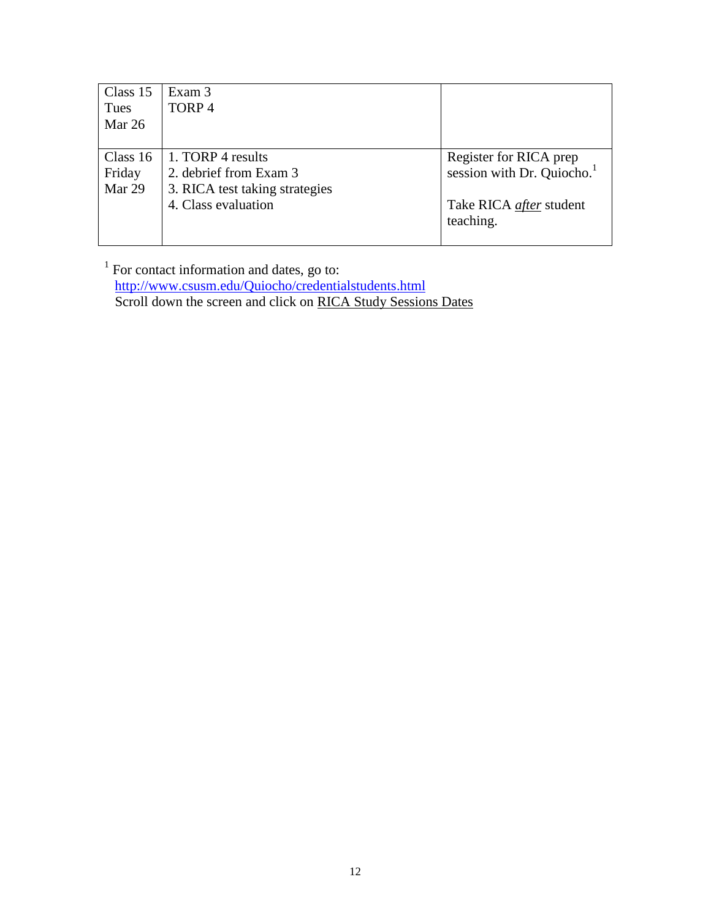| Class 15 | Exam 3                         |                                        |
|----------|--------------------------------|----------------------------------------|
| Tues     | TORP <sub>4</sub>              |                                        |
| Mar 26   |                                |                                        |
|          |                                |                                        |
| Class 16 | 1. TORP 4 results              | Register for RICA prep                 |
| Friday   | 2. debrief from Exam 3         | session with Dr. Quiocho. <sup>1</sup> |
| Mar 29   | 3. RICA test taking strategies |                                        |
|          | 4. Class evaluation            | Take RICA <i>after</i> student         |
|          |                                | teaching.                              |
|          |                                |                                        |

 $<sup>1</sup>$  For contact information and dates, go to:</sup> <http://www.csusm.edu/Quiocho/credentialstudents.html> Scroll down the screen and click on RICA Study Sessions Dates